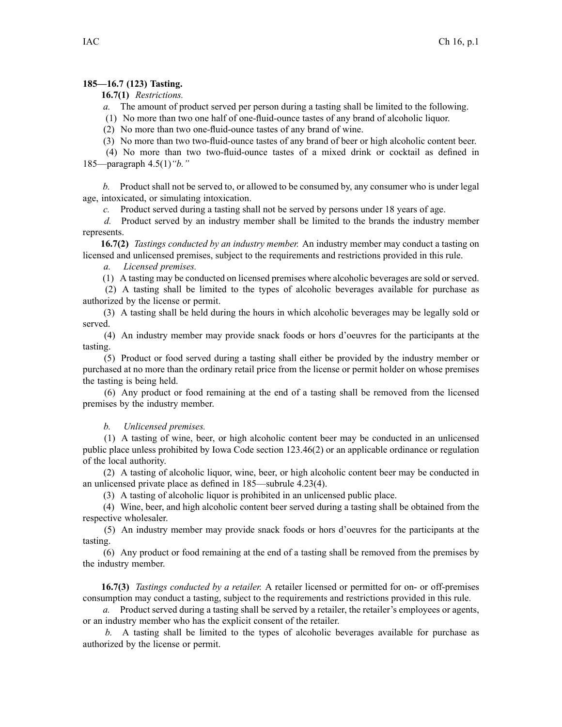## **185—16.7 (123) Tasting.**

**16.7(1)** *Restrictions.*

*a.* The amount of product served per person during <sup>a</sup> tasting shall be limited to the following.

(1) No more than two one half of one-fluid-ounce tastes of any brand of alcoholic liquor.

(2) No more than two one-fluid-ounce tastes of any brand of wine.

(3) No more than two two-fluid-ounce tastes of any brand of beer or high alcoholic content beer.

(4) No more than two two-fluid-ounce tastes of <sup>a</sup> mixed drink or cocktail as defined in 185—paragraph 4.5(1)*"b."*

*b.* Product shall not be served to, or allowed to be consumed by, any consumer who is under legal age, intoxicated, or simulating intoxication.

*c.* Product served during <sup>a</sup> tasting shall not be served by persons under 18 years of age.

*d.* Product served by an industry member shall be limited to the brands the industry member represents.

**16.7(2)** *Tastings conducted by an industry member.* An industry member may conduct <sup>a</sup> tasting on licensed and unlicensed premises, subject to the requirements and restrictions provided in this rule.

*a. Licensed premises.*

(1) A tasting may be conducted on licensed premises where alcoholic beverages are sold or served.

(2) A tasting shall be limited to the types of alcoholic beverages available for purchase as authorized by the license or permit.

(3) A tasting shall be held during the hours in which alcoholic beverages may be legally sold or served.

(4) An industry member may provide snack foods or hors d'oeuvres for the participants at the tasting.

(5) Product or food served during <sup>a</sup> tasting shall either be provided by the industry member or purchased at no more than the ordinary retail price from the license or permit holder on whose premises the tasting is being held.

(6) Any product or food remaining at the end of <sup>a</sup> tasting shall be removed from the licensed premises by the industry member.

*b. Unlicensed premises.*

(1) A tasting of wine, beer, or high alcoholic content beer may be conducted in an unlicensed public place unless prohibited by Iowa Code section 123.46(2) or an applicable ordinance or regulation of the local authority.

(2) A tasting of alcoholic liquor, wine, beer, or high alcoholic content beer may be conducted in an unlicensed private place as defined in 185—subrule 4.23(4).

(3) A tasting of alcoholic liquor is prohibited in an unlicensed public place.

(4) Wine, beer, and high alcoholic content beer served during <sup>a</sup> tasting shall be obtained from the respective wholesaler.

(5) An industry member may provide snack foods or hors d'oeuvres for the participants at the tasting.

(6) Any product or food remaining at the end of <sup>a</sup> tasting shall be removed from the premises by the industry member.

**16.7(3)** *Tastings conducted by <sup>a</sup> retailer.* A retailer licensed or permitted for on- or off-premises consumption may conduct <sup>a</sup> tasting, subject to the requirements and restrictions provided in this rule.

*a.* Product served during <sup>a</sup> tasting shall be served by <sup>a</sup> retailer, the retailer's employees or agents, or an industry member who has the explicit consent of the retailer.

*b.* A tasting shall be limited to the types of alcoholic beverages available for purchase as authorized by the license or permit.